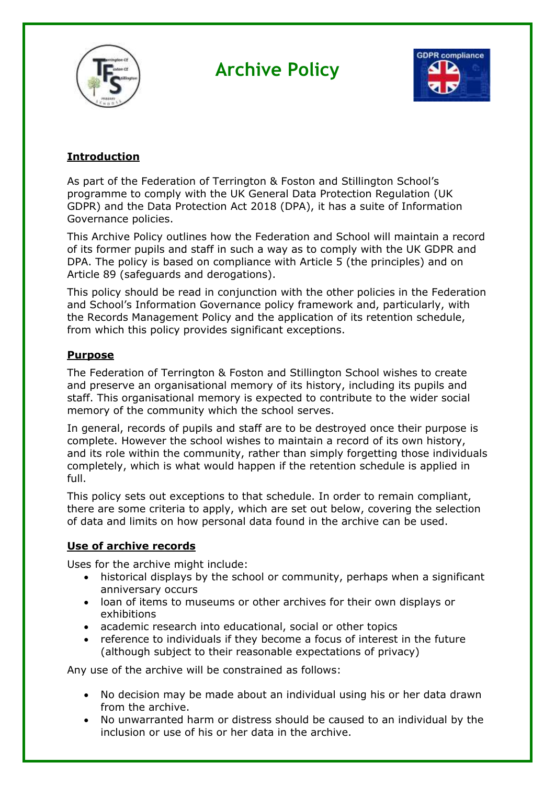

# **Archive Policy**



## **Introduction**

As part of the Federation of Terrington & Foston and Stillington School's programme to comply with the UK General Data Protection Regulation (UK GDPR) and the Data Protection Act 2018 (DPA), it has a suite of Information Governance policies.

This Archive Policy outlines how the Federation and School will maintain a record of its former pupils and staff in such a way as to comply with the UK GDPR and DPA. The policy is based on compliance with Article 5 (the principles) and on Article 89 (safeguards and derogations).

This policy should be read in conjunction with the other policies in the Federation and School's Information Governance policy framework and, particularly, with the Records Management Policy and the application of its retention schedule, from which this policy provides significant exceptions.

### **Purpose**

The Federation of Terrington & Foston and Stillington School wishes to create and preserve an organisational memory of its history, including its pupils and staff. This organisational memory is expected to contribute to the wider social memory of the community which the school serves.

In general, records of pupils and staff are to be destroyed once their purpose is complete. However the school wishes to maintain a record of its own history, and its role within the community, rather than simply forgetting those individuals completely, which is what would happen if the retention schedule is applied in full.

This policy sets out exceptions to that schedule. In order to remain compliant, there are some criteria to apply, which are set out below, covering the selection of data and limits on how personal data found in the archive can be used.

#### **Use of archive records**

Uses for the archive might include:

- historical displays by the school or community, perhaps when a significant anniversary occurs
- loan of items to museums or other archives for their own displays or exhibitions
- academic research into educational, social or other topics
- reference to individuals if they become a focus of interest in the future (although subject to their reasonable expectations of privacy)

Any use of the archive will be constrained as follows:

- No decision may be made about an individual using his or her data drawn from the archive.
- No unwarranted harm or distress should be caused to an individual by the inclusion or use of his or her data in the archive.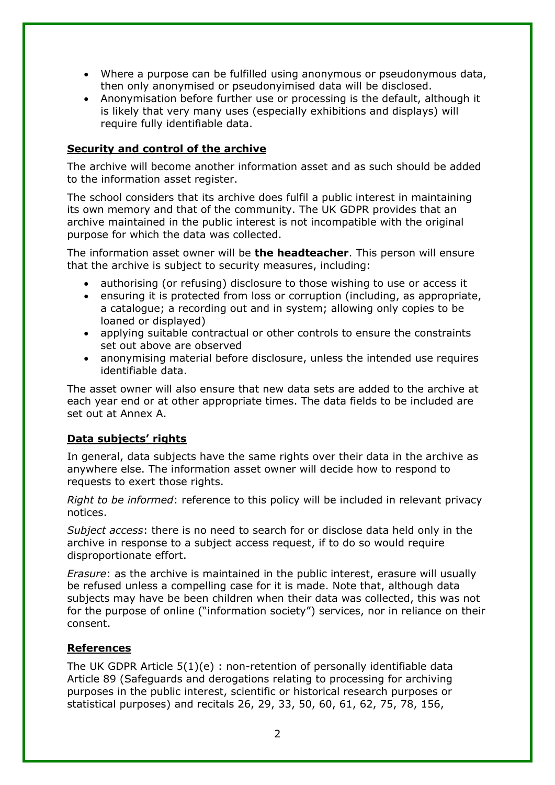- Where a purpose can be fulfilled using anonymous or pseudonymous data, then only anonymised or pseudonyimised data will be disclosed.
- Anonymisation before further use or processing is the default, although it is likely that very many uses (especially exhibitions and displays) will require fully identifiable data.

#### **Security and control of the archive**

The archive will become another information asset and as such should be added to the information asset register.

The school considers that its archive does fulfil a public interest in maintaining its own memory and that of the community. The UK GDPR provides that an archive maintained in the public interest is not incompatible with the original purpose for which the data was collected.

The information asset owner will be **the headteacher**. This person will ensure that the archive is subject to security measures, including:

- authorising (or refusing) disclosure to those wishing to use or access it
- ensuring it is protected from loss or corruption (including, as appropriate, a catalogue; a recording out and in system; allowing only copies to be loaned or displayed)
- applying suitable contractual or other controls to ensure the constraints set out above are observed
- anonymising material before disclosure, unless the intended use requires identifiable data.

The asset owner will also ensure that new data sets are added to the archive at each year end or at other appropriate times. The data fields to be included are set out at Annex A.

#### **Data subjects' rights**

In general, data subjects have the same rights over their data in the archive as anywhere else. The information asset owner will decide how to respond to requests to exert those rights.

*Right to be informed*: reference to this policy will be included in relevant privacy notices.

*Subject access*: there is no need to search for or disclose data held only in the archive in response to a subject access request, if to do so would require disproportionate effort.

*Erasure*: as the archive is maintained in the public interest, erasure will usually be refused unless a compelling case for it is made. Note that, although data subjects may have be been children when their data was collected, this was not for the purpose of online ("information society") services, nor in reliance on their consent.

#### **References**

The UK GDPR Article 5(1)(e) : non-retention of personally identifiable data Article 89 (Safeguards and derogations relating to processing for archiving purposes in the public interest, scientific or historical research purposes or statistical purposes) and recitals 26, 29, 33, 50, 60, 61, 62, 75, 78, 156,